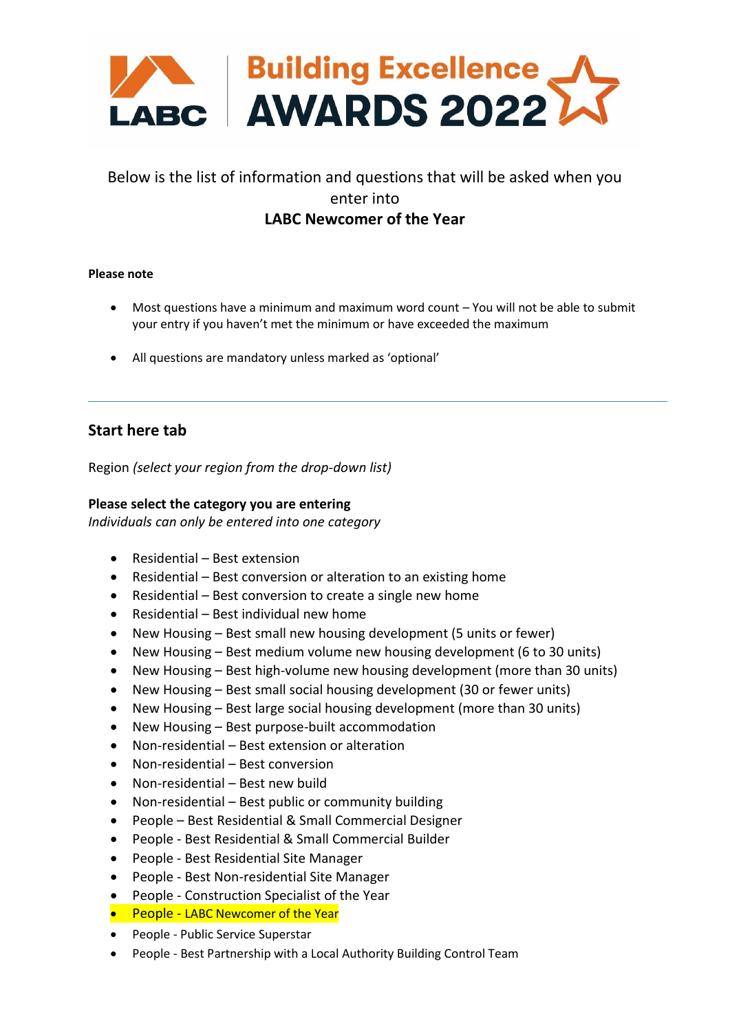

# Below is the list of information and questions that will be asked when you enter into **LABC Newcomer of the Year**

### **Please note**

- Most questions have a minimum and maximum word count You will not be able to submit your entry if you haven't met the minimum or have exceeded the maximum
- All questions are mandatory unless marked as 'optional'

## **Start here tab**

Region *(select your region from the drop-down list)*

### **Please select the category you are entering**

*Individuals can only be entered into one category*

- Residential Best extension
- Residential Best conversion or alteration to an existing home
- Residential Best conversion to create a single new home
- Residential Best individual new home
- New Housing Best small new housing development (5 units or fewer)
- New Housing Best medium volume new housing development (6 to 30 units)
- New Housing Best high-volume new housing development (more than 30 units)
- New Housing Best small social housing development (30 or fewer units)
- New Housing Best large social housing development (more than 30 units)
- New Housing Best purpose-built accommodation
- Non-residential Best extension or alteration
- Non-residential Best conversion
- Non-residential Best new build
- Non-residential Best public or community building
- People Best Residential & Small Commercial Designer
- People Best Residential & Small Commercial Builder
- People Best Residential Site Manager
- People Best Non-residential Site Manager
- People Construction Specialist of the Year
- People LABC Newcomer of the Year
- People Public Service Superstar
- People Best Partnership with a Local Authority Building Control Team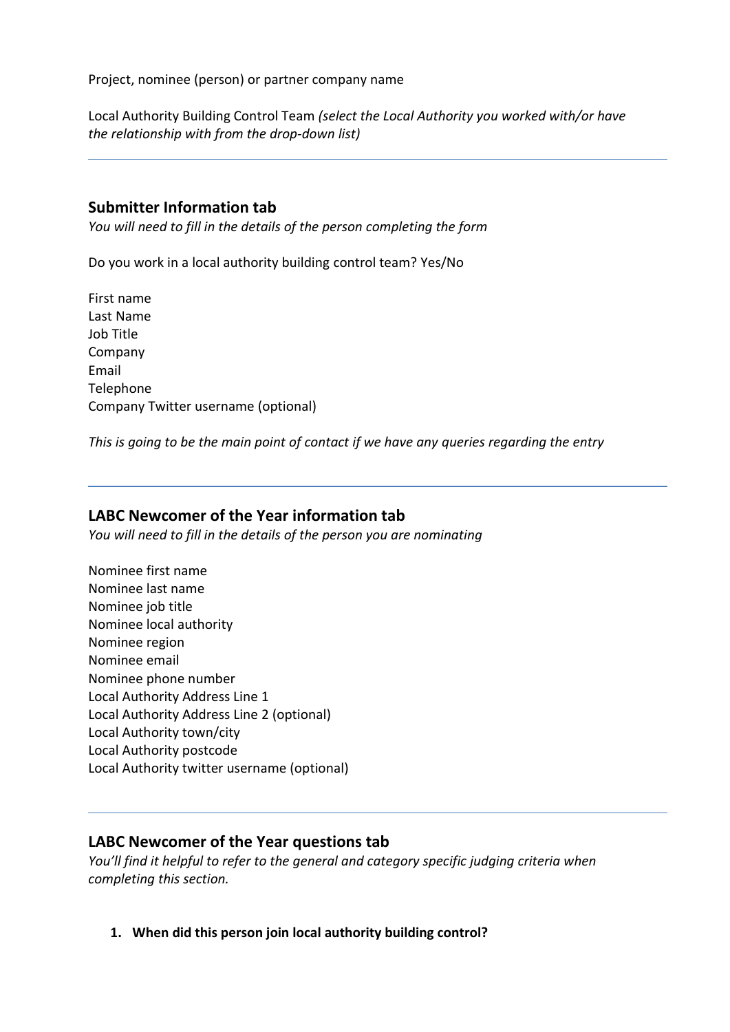Project, nominee (person) or partner company name

Local Authority Building Control Team *(select the Local Authority you worked with/or have the relationship with from the drop-down list)*

## **Submitter Information tab**

*You will need to fill in the details of the person completing the form*

Do you work in a local authority building control team? Yes/No

First name Last Name Job Title Company Email **Telephone** Company Twitter username (optional)

*This is going to be the main point of contact if we have any queries regarding the entry*

## **LABC Newcomer of the Year information tab**

*You will need to fill in the details of the person you are nominating*

Nominee first name Nominee last name Nominee job title Nominee local authority Nominee region Nominee email Nominee phone number Local Authority Address Line 1 Local Authority Address Line 2 (optional) Local Authority town/city Local Authority postcode Local Authority twitter username (optional)

## **LABC Newcomer of the Year questions tab**

*You'll find it helpful to refer to the general and category specific judging criteria when completing this section.*

**1. When did this person join local authority building control?**